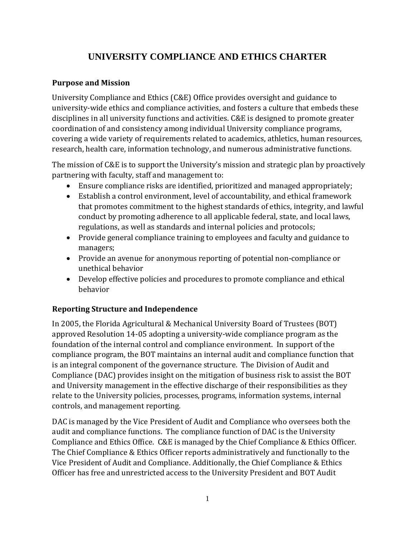# **UNIVERSITY COMPLIANCE AND ETHICS CHARTER**

#### **Purpose and Mission**

University Compliance and Ethics (C&E) Office provides oversight and guidance to university-wide ethics and compliance activities, and fosters a culture that embeds these disciplines in all university functions and activities. C&E is designed to promote greater coordination of and consistency among individual University compliance programs, covering a wide variety of requirements related to academics, athletics, human resources, research, health care, information technology, and numerous administrative functions.

The mission of C&E is to support the University's mission and strategic plan by proactively partnering with faculty, staff and management to:

- Ensure compliance risks are identified, prioritized and managed appropriately;
- Establish a control environment, level of accountability, and ethical framework that promotes commitment to the highest standards of ethics, integrity, and lawful conduct by promoting adherence to all applicable federal, state, and local laws, regulations, as well as standards and internal policies and protocols;
- Provide general compliance training to employees and faculty and guidance to managers;
- Provide an avenue for anonymous reporting of potential non-compliance or unethical behavior
- Develop effective policies and procedures to promote compliance and ethical behavior

### **Reporting Structure and Independence**

In 2005, the Florida Agricultural & Mechanical University Board of Trustees (BOT) approved Resolution 14-05 adopting a university-wide compliance program as the foundation of the internal control and compliance environment. In support of the compliance program, the BOT maintains an internal audit and compliance function that is an integral component of the governance structure. The Division of Audit and Compliance (DAC) provides insight on the mitigation of business risk to assist the BOT and University management in the effective discharge of their responsibilities as they relate to the University policies, processes, programs, information systems, internal controls, and management reporting.

DAC is managed by the Vice President of Audit and Compliance who oversees both the audit and compliance functions. The compliance function of DAC is the University Compliance and Ethics Office. C&E is managed by the Chief Compliance & Ethics Officer. The Chief Compliance & Ethics Officer reports administratively and functionally to the Vice President of Audit and Compliance. Additionally, the Chief Compliance & Ethics Officer has free and unrestricted access to the University President and BOT Audit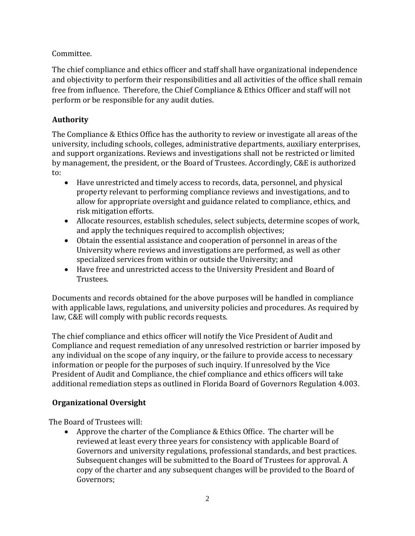Committee.

The chief compliance and ethics officer and staff shall have organizational independence and objectivity to perform their responsibilities and all activities of the office shall remain free from influence. Therefore, the Chief Compliance & Ethics Officer and staff will not perform or be responsible for any audit duties.

# **Authority**

The Compliance & Ethics Office has the authority to review or investigate all areas of the university, including schools, colleges, administrative departments, auxiliary enterprises, and support organizations. Reviews and investigations shall not be restricted or limited by management, the president, or the Board of Trustees. Accordingly, C&E is authorized to:

- Have unrestricted and timely access to records, data, personnel, and physical property relevant to performing compliance reviews and investigations, and to allow for appropriate oversight and guidance related to compliance, ethics, and risk mitigation efforts.
- Allocate resources, establish schedules, select subjects, determine scopes of work, and apply the techniques required to accomplish objectives;
- Obtain the essential assistance and cooperation of personnel in areas of the University where reviews and investigations are performed, as well as other specialized services from within or outside the University; and
- Have free and unrestricted access to the University President and Board of Trustees.

Documents and records obtained for the above purposes will be handled in compliance with applicable laws, regulations, and university policies and procedures. As required by law, C&E will comply with public records requests.

The chief compliance and ethics officer will notify the Vice President of Audit and Compliance and request remediation of any unresolved restriction or barrier imposed by any individual on the scope of any inquiry, or the failure to provide access to necessary information or people for the purposes of such inquiry. If unresolved by the Vice President of Audit and Compliance, the chief compliance and ethics officers will take additional remediation steps as outlined in Florida Board of Governors Regulation 4.003.

# **Organizational Oversight**

The Board of Trustees will:

 Approve the charter of the Compliance & Ethics Office. The charter will be reviewed at least every three years for consistency with applicable Board of Governors and university regulations, professional standards, and best practices. Subsequent changes will be submitted to the Board of Trustees for approval. A copy of the charter and any subsequent changes will be provided to the Board of Governors;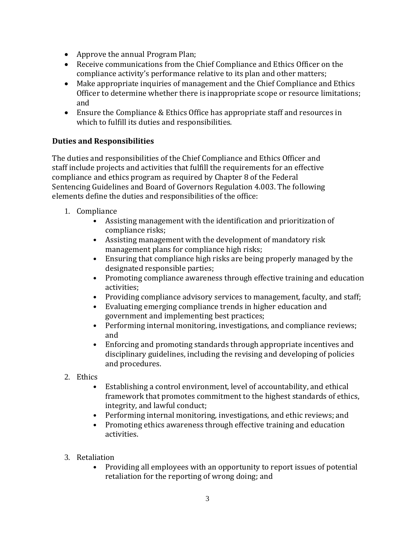- Approve the annual Program Plan;
- Receive communications from the Chief Compliance and Ethics Officer on the compliance activity's performance relative to its plan and other matters;
- Make appropriate inquiries of management and the Chief Compliance and Ethics Officer to determine whether there is inappropriate scope or resource limitations; and
- Ensure the Compliance & Ethics Office has appropriate staff and resources in which to fulfill its duties and responsibilities.

### **Duties and Responsibilities**

The duties and responsibilities of the Chief Compliance and Ethics Officer and staff include projects and activities that fulfill the requirements for an effective compliance and ethics program as required by Chapter 8 of the Federal Sentencing Guidelines and Board of Governors Regulation 4.003. The following elements define the duties and responsibilities of the office:

- 1. Compliance
	- Assisting management with the identification and prioritization of compliance risks;
	- Assisting management with the development of mandatory risk management plans for compliance high risks;
	- Ensuring that compliance high risks are being properly managed by the designated responsible parties;
	- Promoting compliance awareness through effective training and education activities;
	- Providing compliance advisory services to management, faculty, and staff;
	- Evaluating emerging compliance trends in higher education and government and implementing best practices;
	- Performing internal monitoring, investigations, and compliance reviews; and
	- Enforcing and promoting standards through appropriate incentives and disciplinary guidelines, including the revising and developing of policies and procedures.
- 2. Ethics
	- Establishing a control environment, level of accountability, and ethical framework that promotes commitment to the highest standards of ethics, integrity, and lawful conduct;
	- Performing internal monitoring, investigations, and ethic reviews; and
	- Promoting ethics awareness through effective training and education activities.
- 3. Retaliation
	- Providing all employees with an opportunity to report issues of potential retaliation for the reporting of wrong doing; and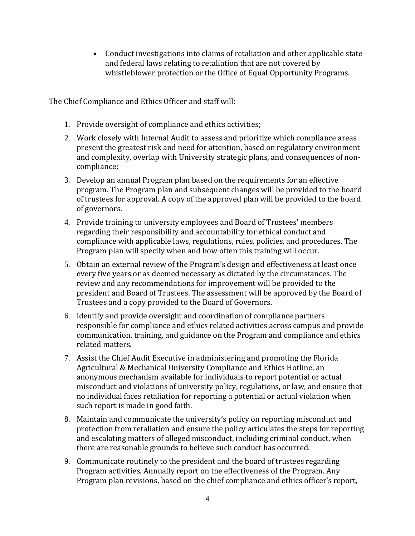• Conduct investigations into claims of retaliation and other applicable state and federal laws relating to retaliation that are not covered by whistleblower protection or the Office of Equal Opportunity Programs.

The Chief Compliance and Ethics Officer and staff will:

- 1. Provide oversight of compliance and ethics activities;
- 2. Work closely with Internal Audit to assess and prioritize which compliance areas present the greatest risk and need for attention, based on regulatory environment and complexity, overlap with University strategic plans, and consequences of noncompliance;
- 3. Develop an annual Program plan based on the requirements for an effective program. The Program plan and subsequent changes will be provided to the board of trustees for approval. A copy of the approved plan will be provided to the board of governors.
- 4. Provide training to university employees and Board of Trustees' members regarding their responsibility and accountability for ethical conduct and compliance with applicable laws, regulations, rules, policies, and procedures. The Program plan will specify when and how often this training will occur.
- 5. Obtain an external review of the Program's design and effectiveness at least once every five years or as deemed necessary as dictated by the circumstances. The review and any recommendations for improvement will be provided to the president and Board of Trustees. The assessment will be approved by the Board of Trustees and a copy provided to the Board of Governors.
- 6. Identify and provide oversight and coordination of compliance partners responsible for compliance and ethics related activities across campus and provide communication, training, and guidance on the Program and compliance and ethics related matters.
- 7. Assist the Chief Audit Executive in administering and promoting the Florida Agricultural & Mechanical University Compliance and Ethics Hotline, an anonymous mechanism available for individuals to report potential or actual misconduct and violations of university policy, regulations, or law, and ensure that no individual faces retaliation for reporting a potential or actual violation when such report is made in good faith.
- 8. Maintain and communicate the university's policy on reporting misconduct and protection from retaliation and ensure the policy articulates the steps for reporting and escalating matters of alleged misconduct, including criminal conduct, when there are reasonable grounds to believe such conduct has occurred.
- 9. Communicate routinely to the president and the board of trustees regarding Program activities. Annually report on the effectiveness of the Program. Any Program plan revisions, based on the chief compliance and ethics officer's report,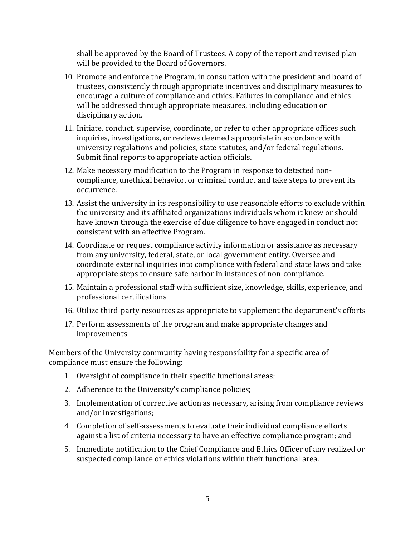shall be approved by the Board of Trustees. A copy of the report and revised plan will be provided to the Board of Governors.

- 10. Promote and enforce the Program, in consultation with the president and board of trustees, consistently through appropriate incentives and disciplinary measures to encourage a culture of compliance and ethics. Failures in compliance and ethics will be addressed through appropriate measures, including education or disciplinary action.
- 11. Initiate, conduct, supervise, coordinate, or refer to other appropriate offices such inquiries, investigations, or reviews deemed appropriate in accordance with university regulations and policies, state statutes, and/or federal regulations. Submit final reports to appropriate action officials.
- 12. Make necessary modification to the Program in response to detected noncompliance, unethical behavior, or criminal conduct and take steps to prevent its occurrence.
- 13. Assist the university in its responsibility to use reasonable efforts to exclude within the university and its affiliated organizations individuals whom it knew or should have known through the exercise of due diligence to have engaged in conduct not consistent with an effective Program.
- 14. Coordinate or request compliance activity information or assistance as necessary from any university, federal, state, or local government entity. Oversee and coordinate external inquiries into compliance with federal and state laws and take appropriate steps to ensure safe harbor in instances of non-compliance.
- 15. Maintain a professional staff with sufficient size, knowledge, skills, experience, and professional certifications
- 16. Utilize third-party resources as appropriate to supplement the department's efforts
- 17. Perform assessments of the program and make appropriate changes and improvements

Members of the University community having responsibility for a specific area of compliance must ensure the following:

- 1. Oversight of compliance in their specific functional areas;
- 2. Adherence to the University's compliance policies;
- 3. Implementation of corrective action as necessary, arising from compliance reviews and/or investigations;
- 4. Completion of self-assessments to evaluate their individual compliance efforts against a list of criteria necessary to have an effective compliance program; and
- 5. Immediate notification to the Chief Compliance and Ethics Officer of any realized or suspected compliance or ethics violations within their functional area.